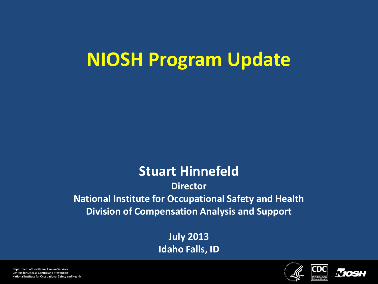# **NIOSH Program Update**

### **Stuart Hinnefeld**

**Director National Institute for Occupational Safety and Health Division of Compensation Analysis and Support**

> **July 2013 Idaho Falls, ID**



CDC



Department of Health and Human Services **Centers for Disease Control and Prevention** National Institute for Occupational Safety and Health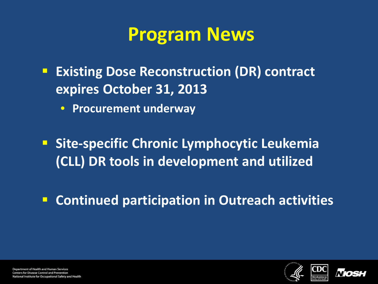## **Program News**

- **Existing Dose Reconstruction (DR) contract expires October 31, 2013**
	- **Procurement underway**
- **Site-specific Chronic Lymphocytic Leukemia (CLL) DR tools in development and utilized**
- **E** Continued participation in Outreach activities



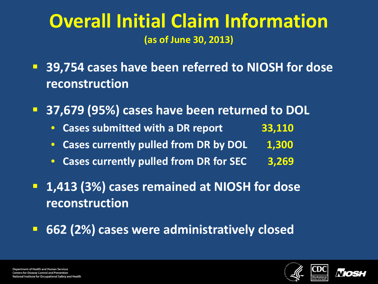### **Overall Initial Claim Information (as of June 30, 2013)**

- **39,754 cases have been referred to NIOSH for dose reconstruction**
- **37,679 (95%) cases have been returned to DOL**
	- **Cases submitted with a DR report 33,110**
	- **Cases currently pulled from DR by DOL 1,300**
	- **Cases currently pulled from DR for SEC 3,269**
- **1,413 (3%) cases remained at NIOSH for dose reconstruction**
- **662 (2%) cases were administratively closed**



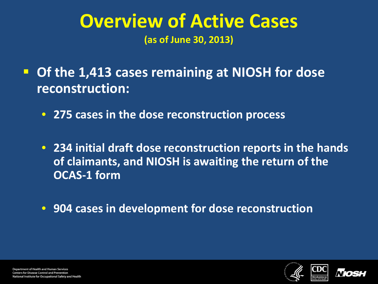### **Overview of Active Cases (as of June 30, 2013)**

 **Of the 1,413 cases remaining at NIOSH for dose reconstruction:**

• **275 cases in the dose reconstruction process**

• **234 initial draft dose reconstruction reports in the hands of claimants, and NIOSH is awaiting the return of the OCAS-1 form**

• **904 cases in development for dose reconstruction**



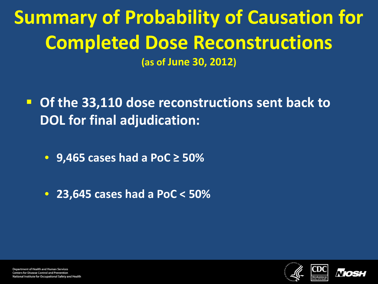**Summary of Probability of Causation for Completed Dose Reconstructions (as of June 30, 2012)**

- **Of the 33,110 dose reconstructions sent back to DOL for final adjudication:**
	- **9,465 cases had a PoC ≥ 50%**
	- **23,645 cases had a PoC < 50%**



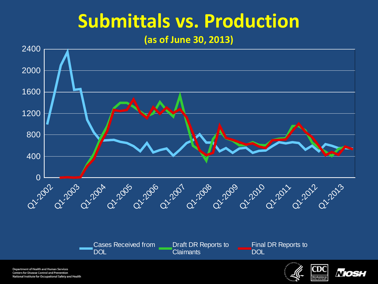## **Submittals vs. Production**

#### **(as of June 30, 2013)**



Department of Health and Human Services **Centers for Disease Control and Prevention** National Institute for Occupational Safety and Health



*Niosl*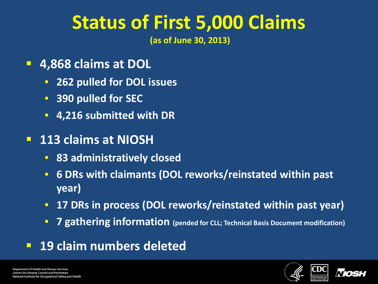# **Status of First 5,000 Claims**

**(as of June 30, 2013)** 

- **4,868 claims at DOL**
	- **262 pulled for DOL issues**
	- **390 pulled for SEC**
	- **4,216 submitted with DR**
- **113 claims at NIOSH**
	- **83 administratively closed**
	- **6 DRs with claimants (DOL reworks/reinstated within past year)**
	- **17 DRs in process (DOL reworks/reinstated within past year)**
	- **7 gathering information (pended for CLL; Technical Basis Document modification)**
- **19 claim numbers deleted**



**Department of Health and Human Services Centers for Disease Control and Prevention** National Institute for Occupational Safety and Health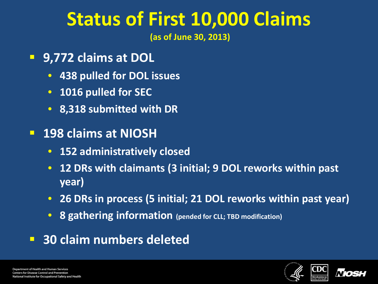## **Status of First 10,000 Claims**

**(as of June 30, 2013)** 

- **9,772 claims at DOL**
	- **438 pulled for DOL issues**
	- **1016 pulled for SEC**
	- **8,318 submitted with DR**
- **198 claims at NIOSH**
	- **152 administratively closed**
	- **12 DRs with claimants (3 initial; 9 DOL reworks within past year)**
	- **26 DRs in process (5 initial; 21 DOL reworks within past year)**
	- **8 gathering information (pended for CLL; TBD modification)**
- **30 claim numbers deleted**



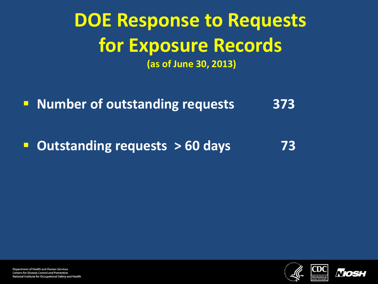## **DOE Response to Requests for Exposure Records (as of June 30, 2013)**

**Number of outstanding requests** 373

**Dutstanding requests > 60 days** 73



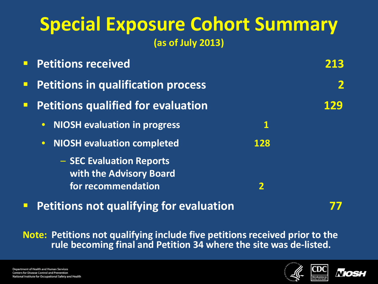### **Special Exposure Cohort Summary (as of July 2013)**

|        | <b>Petitions received</b>                           |          | 213 |
|--------|-----------------------------------------------------|----------|-----|
| $\Box$ | <b>Petitions in qualification process</b>           |          |     |
|        | <b>Petitions qualified for evaluation</b>           |          | 129 |
|        | <b>NIOSH evaluation in progress</b><br>$\bullet$    | <u>1</u> |     |
|        | <b>NIOSH evaluation completed</b><br>$\bullet$      | 128      |     |
|        | - SEC Evaluation Reports<br>with the Advisory Board |          |     |
|        | for recommendation                                  |          |     |

**Petitions not qualifying for evaluation Petitions 177** 

**Note: Petitions not qualifying include five petitions received prior to the rule becoming final and Petition 34 where the site was de-listed.**